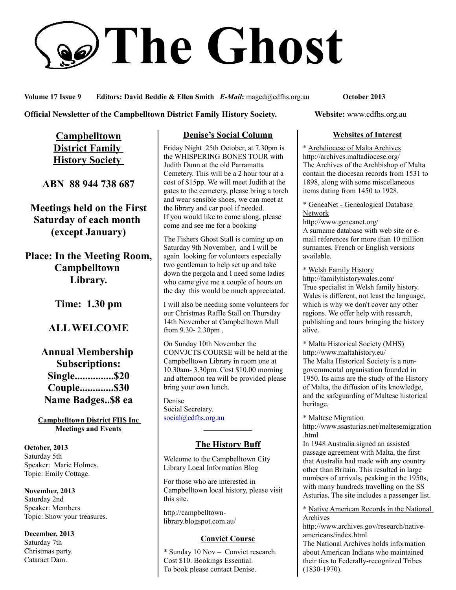# **The Ghost**

**Volume 17 Issue 9 Editors: David Beddie & Ellen Smith** *E-Mail***:** maged@cdfhs.org.au **October 2013**

#### **Official Newsletter of the Campbelltown District Family History Society. Website: www.cdfhs.org.au**

**Campbelltown District Family History Society** 

**ABN 88 944 738 687**

**Meetings held on the First Saturday of each month (except January)**

**Place: In the Meeting Room, Campbelltown Library.**

**Time: 1.30 pm**

# **ALL WELCOME**

# **Annual Membership Subscriptions: Single...............\$20 Couple.............\$30 Name Badges..\$8 ea**

#### **Campbelltown District FHS Inc Meetings and Events**

**October, 2013** Saturday 5th Speaker: Marie Holmes. Topic: Emily Cottage.

**November, 2013** Saturday 2nd Speaker: Members Topic: Show your treasures.

**December, 2013** Saturday 7th Christmas party. Cataract Dam.

## **Denise's Social Column**

Friday Night 25th October, at 7.30pm is the WHISPERING BONES TOUR with Judith Dunn at the old Parramatta Cemetery. This will be a 2 hour tour at a cost of \$15pp. We will meet Judith at the gates to the cemetery, please bring a torch and wear sensible shoes, we can meet at the library and car pool if needed. If you would like to come along, please come and see me for a booking

The Fishers Ghost Stall is coming up on Saturday 9th November, and I will be again looking for volunteers especially two gentleman to help set up and take down the pergola and I need some ladies who came give me a couple of hours on the day this would be much appreciated.

I will also be needing some volunteers for our Christmas Raffle Stall on Thursday 14th November at Campbelltown Mall from 9.30- 2.30pm .

On Sunday 10th November the CONVJCTS COURSE will be held at the Campbelltown Library in room one at 10.30am- 3.30pm. Cost \$10.00 morning and afternoon tea will be provided please bring your own lunch.

Denise Social Secretary. [social@cdfhs.org.au](mailto:social@cdfhs.org.au)

# ——————– **The History Buff**

Welcome to the Campbelltown City Library Local Information Blog

For those who are interested in Campbelltown local history, please visit this site.

http://campbelltownlibrary.blogspot.com.au/

#### ——————– **Convict Course**

\* Sunday 10 Nov – Convict research. Cost \$10. Bookings Essential. To book please contact Denise.

#### **Websites of Interest**

\* Archdiocese of Malta Archives http://archives.maltadiocese.org/ The Archives of the Archbishop of Malta contain the diocesan records from 1531 to 1898, along with some miscellaneous items dating from 1450 to 1928.

\* GeneaNet - Genealogical Database Network

http://www.geneanet.org/ A surname database with web site or email references for more than 10 million surnames. French or English versions available.

\* Welsh Family History http://familyhistorywales.com/ True specialist in Welsh family history. Wales is different, not least the language, which is why we don't cover any other regions. We offer help with research, publishing and tours bringing the history alive.

\* Malta Historical Society (MHS) http://www.maltahistory.eu/ The Malta Historical Society is a nongovernmental organisation founded in 1950. Its aims are the study of the History of Malta, the diffusion of its knowledge, and the safeguarding of Maltese historical heritage.

\* Maltese Migration

http://www.ssasturias.net/maltesemigration .html

In 1948 Australia signed an assisted passage agreement with Malta, the first that Australia had made with any country other than Britain. This resulted in large numbers of arrivals, peaking in the 1950s, with many hundreds travelling on the SS Asturias. The site includes a passenger list.

\* Native American Records in the National Archives

http://www.archives.gov/research/nativeamericans/index.html The National Archives holds information about American Indians who maintained their ties to Federally-recognized Tribes (1830-1970).